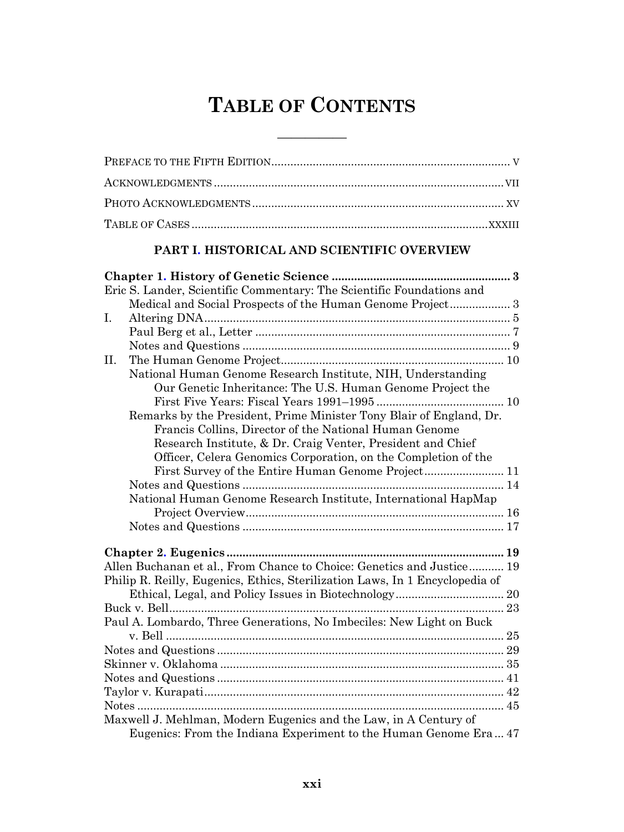# **TABLE OF CONTENTS**

<u> 1989 - Johann Barbara, martx</u>

#### PART I. HISTORICAL AND SCIENTIFIC OVERVIEW

| Eric S. Lander, Scientific Commentary: The Scientific Foundations and        |  |
|------------------------------------------------------------------------------|--|
| Medical and Social Prospects of the Human Genome Project 3                   |  |
| Ι.                                                                           |  |
|                                                                              |  |
|                                                                              |  |
| II.                                                                          |  |
| National Human Genome Research Institute, NIH, Understanding                 |  |
| Our Genetic Inheritance: The U.S. Human Genome Project the                   |  |
|                                                                              |  |
| Remarks by the President, Prime Minister Tony Blair of England, Dr.          |  |
| Francis Collins, Director of the National Human Genome                       |  |
| Research Institute, & Dr. Craig Venter, President and Chief                  |  |
| Officer, Celera Genomics Corporation, on the Completion of the               |  |
| First Survey of the Entire Human Genome Project 11                           |  |
|                                                                              |  |
| National Human Genome Research Institute, International HapMap               |  |
|                                                                              |  |
|                                                                              |  |
|                                                                              |  |
| Allen Buchanan et al., From Chance to Choice: Genetics and Justice 19        |  |
| Philip R. Reilly, Eugenics, Ethics, Sterilization Laws, In 1 Encyclopedia of |  |
|                                                                              |  |
|                                                                              |  |
| Paul A. Lombardo, Three Generations, No Imbeciles: New Light on Buck         |  |
|                                                                              |  |
|                                                                              |  |
|                                                                              |  |
|                                                                              |  |
|                                                                              |  |
|                                                                              |  |
| Maxwell J. Mehlman, Modern Eugenics and the Law, in A Century of             |  |
| Eugenics: From the Indiana Experiment to the Human Genome Era 47             |  |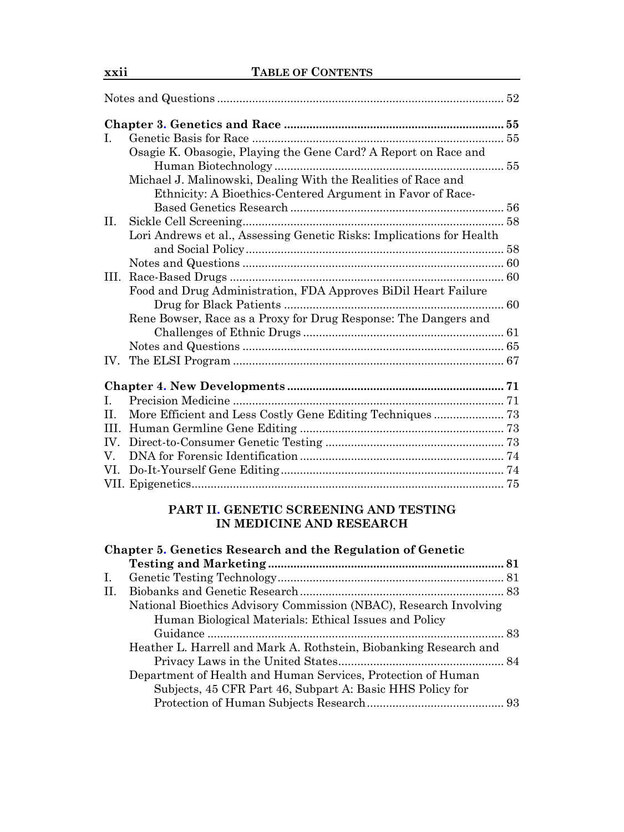| L.                |                                                                       |  |
|-------------------|-----------------------------------------------------------------------|--|
|                   | Osagie K. Obasogie, Playing the Gene Card? A Report on Race and       |  |
|                   |                                                                       |  |
|                   | Michael J. Malinowski, Dealing With the Realities of Race and         |  |
|                   | Ethnicity: A Bioethics-Centered Argument in Favor of Race-            |  |
|                   |                                                                       |  |
| II.               |                                                                       |  |
|                   | Lori Andrews et al., Assessing Genetic Risks: Implications for Health |  |
|                   |                                                                       |  |
|                   |                                                                       |  |
| III.              |                                                                       |  |
|                   | Food and Drug Administration, FDA Approves BiDil Heart Failure        |  |
|                   |                                                                       |  |
|                   | Rene Bowser, Race as a Proxy for Drug Response: The Dangers and       |  |
|                   |                                                                       |  |
|                   |                                                                       |  |
| IV.               |                                                                       |  |
|                   |                                                                       |  |
|                   |                                                                       |  |
| L                 |                                                                       |  |
| H.                | More Efficient and Less Costly Gene Editing Techniques  73            |  |
|                   |                                                                       |  |
| $\mathbf{IV}_{-}$ |                                                                       |  |
| V.                |                                                                       |  |
| VI.               |                                                                       |  |
|                   |                                                                       |  |
|                   |                                                                       |  |

#### **PART II. GENETIC SCREENING AND TESTING IN MEDICINE AND RESEARCH**

|     | Chapter 5. Genetics Research and the Regulation of Genetic        |  |
|-----|-------------------------------------------------------------------|--|
|     |                                                                   |  |
| Ι.  |                                                                   |  |
| II. |                                                                   |  |
|     | National Bioethics Advisory Commission (NBAC), Research Involving |  |
|     | Human Biological Materials: Ethical Issues and Policy             |  |
|     |                                                                   |  |
|     | Heather L. Harrell and Mark A. Rothstein, Biobanking Research and |  |
|     |                                                                   |  |
|     | Department of Health and Human Services, Protection of Human      |  |
|     | Subjects, 45 CFR Part 46, Subpart A: Basic HHS Policy for         |  |
|     |                                                                   |  |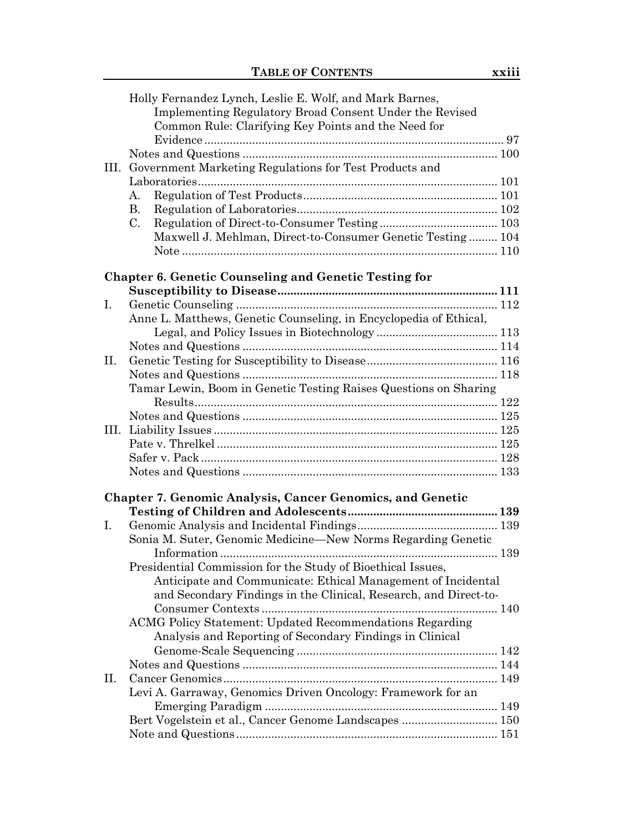|    | Holly Fernandez Lynch, Leslie E. Wolf, and Mark Barnes,           |     |
|----|-------------------------------------------------------------------|-----|
|    | Implementing Regulatory Broad Consent Under the Revised           |     |
|    | Common Rule: Clarifying Key Points and the Need for               |     |
|    |                                                                   |     |
|    |                                                                   |     |
|    | III. Government Marketing Regulations for Test Products and       |     |
|    |                                                                   |     |
|    | А.                                                                |     |
|    | <b>B.</b>                                                         |     |
|    | C.                                                                |     |
|    | Maxwell J. Mehlman, Direct-to-Consumer Genetic Testing 104        |     |
|    |                                                                   |     |
|    |                                                                   |     |
|    | <b>Chapter 6. Genetic Counseling and Genetic Testing for</b>      |     |
|    |                                                                   |     |
| Ι. |                                                                   |     |
|    | Anne L. Matthews, Genetic Counseling, in Encyclopedia of Ethical, |     |
|    |                                                                   |     |
|    |                                                                   |     |
| П. |                                                                   |     |
|    |                                                                   |     |
|    | Tamar Lewin, Boom in Genetic Testing Raises Questions on Sharing  |     |
|    |                                                                   |     |
|    |                                                                   |     |
|    |                                                                   |     |
|    |                                                                   |     |
|    |                                                                   |     |
|    |                                                                   |     |
|    |                                                                   |     |
|    | <b>Chapter 7. Genomic Analysis, Cancer Genomics, and Genetic</b>  |     |
|    |                                                                   |     |
| Ι. |                                                                   |     |
|    | Sonia M. Suter, Genomic Medicine—New Norms Regarding Genetic      |     |
|    |                                                                   |     |
|    | Presidential Commission for the Study of Bioethical Issues,       |     |
|    | Anticipate and Communicate: Ethical Management of Incidental      |     |
|    | and Secondary Findings in the Clinical, Research, and Direct-to-  |     |
|    |                                                                   | 140 |
|    | ACMG Policy Statement: Updated Recommendations Regarding          |     |
|    | Analysis and Reporting of Secondary Findings in Clinical          |     |
|    |                                                                   |     |
|    |                                                                   |     |
| П. |                                                                   |     |
|    | Levi A. Garraway, Genomics Driven Oncology: Framework for an      |     |
|    |                                                                   |     |
|    | Bert Vogelstein et al., Cancer Genome Landscapes  150             |     |
|    |                                                                   |     |
|    |                                                                   |     |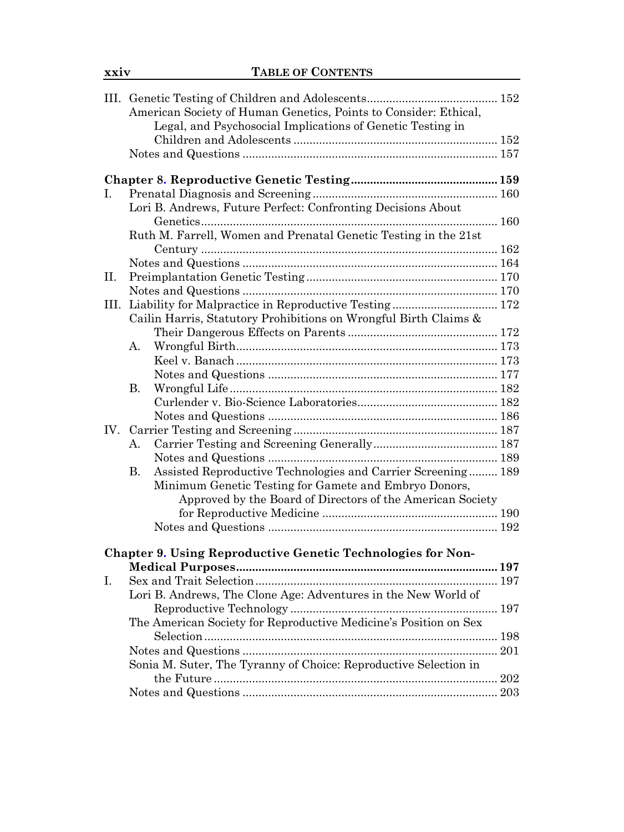|      | American Society of Human Genetics, Points to Consider: Ethical,   |  |
|------|--------------------------------------------------------------------|--|
|      | Legal, and Psychosocial Implications of Genetic Testing in         |  |
|      |                                                                    |  |
|      |                                                                    |  |
|      |                                                                    |  |
|      |                                                                    |  |
| Ι.   |                                                                    |  |
|      | Lori B. Andrews, Future Perfect: Confronting Decisions About       |  |
|      |                                                                    |  |
|      | Ruth M. Farrell, Women and Prenatal Genetic Testing in the 21st    |  |
|      |                                                                    |  |
|      |                                                                    |  |
| П.   |                                                                    |  |
|      |                                                                    |  |
| III. | Liability for Malpractice in Reproductive Testing 172              |  |
|      | Cailin Harris, Statutory Prohibitions on Wrongful Birth Claims &   |  |
|      |                                                                    |  |
|      | А.                                                                 |  |
|      |                                                                    |  |
|      |                                                                    |  |
|      | В.                                                                 |  |
|      |                                                                    |  |
|      |                                                                    |  |
| IV.  |                                                                    |  |
|      | А.                                                                 |  |
|      |                                                                    |  |
|      | Assisted Reproductive Technologies and Carrier Screening 189<br>В. |  |
|      | Minimum Genetic Testing for Gamete and Embryo Donors,              |  |
|      | Approved by the Board of Directors of the American Society         |  |
|      |                                                                    |  |
|      |                                                                    |  |
|      |                                                                    |  |
|      | Chapter 9. Using Reproductive Genetic Technologies for Non-        |  |
|      |                                                                    |  |
| Ι.   |                                                                    |  |
|      | Lori B. Andrews, The Clone Age: Adventures in the New World of     |  |
|      |                                                                    |  |
|      | The American Society for Reproductive Medicine's Position on Sex   |  |
|      |                                                                    |  |
|      |                                                                    |  |
|      | Sonia M. Suter, The Tyranny of Choice: Reproductive Selection in   |  |
|      |                                                                    |  |
|      |                                                                    |  |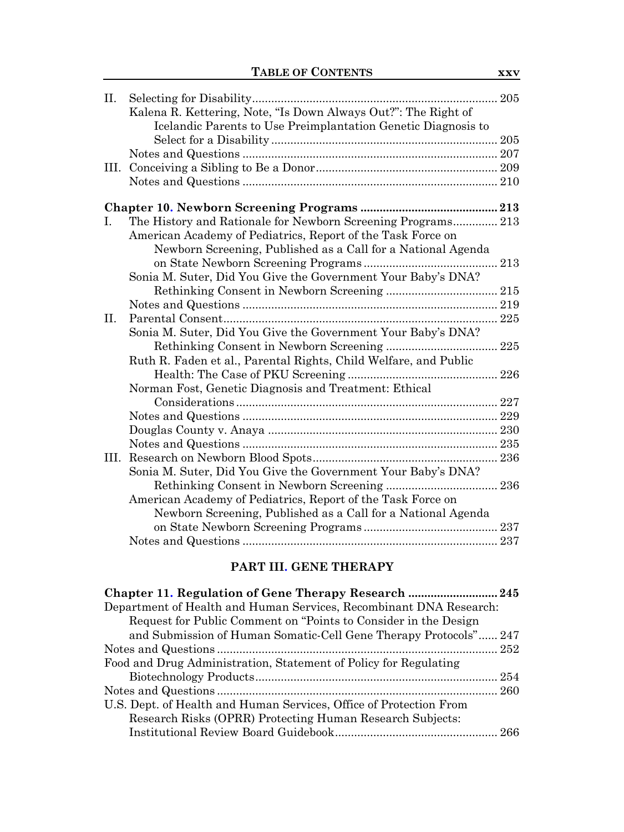| П.   |                                                                  | 205 |
|------|------------------------------------------------------------------|-----|
|      | Kalena R. Kettering, Note, "Is Down Always Out?": The Right of   |     |
|      | Icelandic Parents to Use Preimplantation Genetic Diagnosis to    |     |
|      |                                                                  |     |
|      |                                                                  |     |
| Ш.   |                                                                  |     |
|      |                                                                  |     |
|      |                                                                  |     |
| L.   | The History and Rationale for Newborn Screening Programs 213     |     |
|      | American Academy of Pediatrics, Report of the Task Force on      |     |
|      | Newborn Screening, Published as a Call for a National Agenda     |     |
|      |                                                                  |     |
|      | Sonia M. Suter, Did You Give the Government Your Baby's DNA?     |     |
|      |                                                                  |     |
|      |                                                                  |     |
| П.   |                                                                  |     |
|      | Sonia M. Suter, Did You Give the Government Your Baby's DNA?     |     |
|      |                                                                  | 225 |
|      | Ruth R. Faden et al., Parental Rights, Child Welfare, and Public |     |
|      |                                                                  | 226 |
|      | Norman Fost, Genetic Diagnosis and Treatment: Ethical            |     |
|      |                                                                  |     |
|      |                                                                  |     |
|      |                                                                  |     |
|      |                                                                  |     |
| III. |                                                                  |     |
|      | Sonia M. Suter, Did You Give the Government Your Baby's DNA?     |     |
|      |                                                                  | 236 |
|      | American Academy of Pediatrics, Report of the Task Force on      |     |
|      | Newborn Screening, Published as a Call for a National Agenda     |     |
|      |                                                                  |     |
|      |                                                                  |     |
|      |                                                                  |     |

## PART III. GENE THERAPY

| Department of Health and Human Services, Recombinant DNA Research: |  |
|--------------------------------------------------------------------|--|
| Request for Public Comment on "Points to Consider in the Design    |  |
| and Submission of Human Somatic-Cell Gene Therapy Protocols" 247   |  |
|                                                                    |  |
| Food and Drug Administration, Statement of Policy for Regulating   |  |
|                                                                    |  |
|                                                                    |  |
| U.S. Dept. of Health and Human Services, Office of Protection From |  |
| Research Risks (OPRR) Protecting Human Research Subjects:          |  |
|                                                                    |  |
|                                                                    |  |

 $\mathbf{XXV}$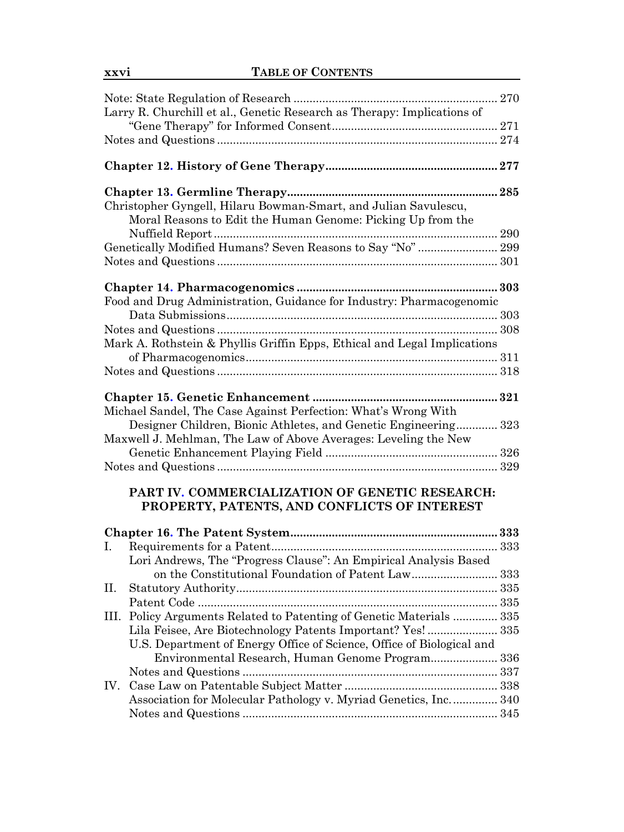|     | Larry R. Churchill et al., Genetic Research as Therapy: Implications of  |  |
|-----|--------------------------------------------------------------------------|--|
|     |                                                                          |  |
|     |                                                                          |  |
|     |                                                                          |  |
|     |                                                                          |  |
|     | Christopher Gyngell, Hilaru Bowman-Smart, and Julian Savulescu,          |  |
|     | Moral Reasons to Edit the Human Genome: Picking Up from the              |  |
|     |                                                                          |  |
|     | Genetically Modified Humans? Seven Reasons to Say "No" 299               |  |
|     |                                                                          |  |
|     |                                                                          |  |
|     | Food and Drug Administration, Guidance for Industry: Pharmacogenomic     |  |
|     |                                                                          |  |
|     |                                                                          |  |
|     | Mark A. Rothstein & Phyllis Griffin Epps, Ethical and Legal Implications |  |
|     |                                                                          |  |
|     |                                                                          |  |
|     |                                                                          |  |
|     | Michael Sandel, The Case Against Perfection: What's Wrong With           |  |
|     | Designer Children, Bionic Athletes, and Genetic Engineering 323          |  |
|     | Maxwell J. Mehlman, The Law of Above Averages: Leveling the New          |  |
|     |                                                                          |  |
|     |                                                                          |  |
|     |                                                                          |  |
|     | PART IV. COMMERCIALIZATION OF GENETIC RESEARCH:                          |  |
|     | PROPERTY, PATENTS, AND CONFLICTS OF INTEREST                             |  |
|     |                                                                          |  |
| I.  |                                                                          |  |
|     | Lori Andrews, The "Progress Clause": An Empirical Analysis Based         |  |
|     | on the Constitutional Foundation of Patent Law333                        |  |
| П.  |                                                                          |  |
|     |                                                                          |  |
|     | III. Policy Arguments Related to Patenting of Genetic Materials  335     |  |
|     | Lila Feisee, Are Biotechnology Patents Important? Yes! 335               |  |
|     | U.S. Department of Energy Office of Science, Office of Biological and    |  |
|     | Environmental Research, Human Genome Program 336                         |  |
|     |                                                                          |  |
| IV. |                                                                          |  |
|     | Association for Molecular Pathology v. Myriad Genetics, Inc 340          |  |
|     |                                                                          |  |
|     |                                                                          |  |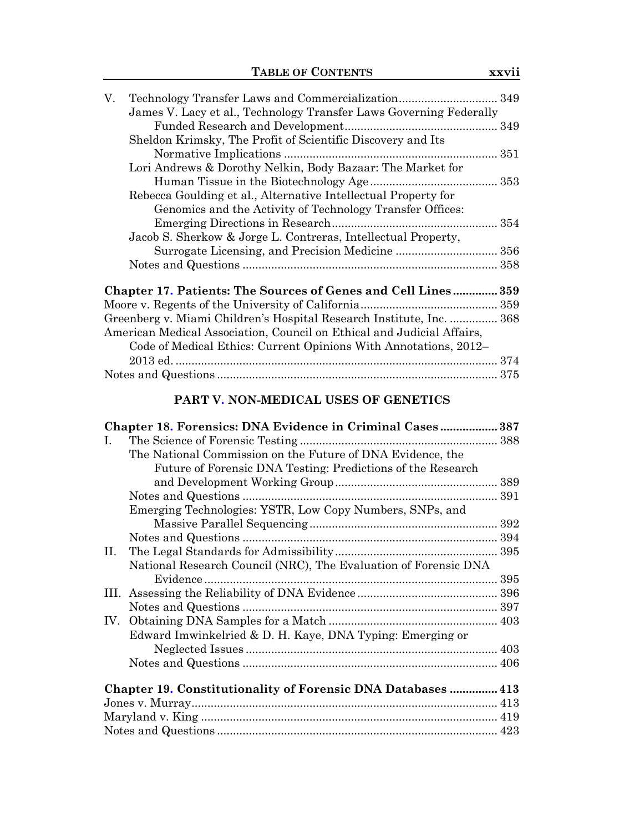| V. |                                                                                                                                                                                                                                                                                                             |  |
|----|-------------------------------------------------------------------------------------------------------------------------------------------------------------------------------------------------------------------------------------------------------------------------------------------------------------|--|
|    | James V. Lacy et al., Technology Transfer Laws Governing Federally                                                                                                                                                                                                                                          |  |
|    |                                                                                                                                                                                                                                                                                                             |  |
|    | Sheldon Krimsky, The Profit of Scientific Discovery and Its                                                                                                                                                                                                                                                 |  |
|    |                                                                                                                                                                                                                                                                                                             |  |
|    | Lori Andrews & Dorothy Nelkin, Body Bazaar: The Market for                                                                                                                                                                                                                                                  |  |
|    |                                                                                                                                                                                                                                                                                                             |  |
|    | Rebecca Goulding et al., Alternative Intellectual Property for                                                                                                                                                                                                                                              |  |
|    | Genomics and the Activity of Technology Transfer Offices:                                                                                                                                                                                                                                                   |  |
|    |                                                                                                                                                                                                                                                                                                             |  |
|    | Jacob S. Sherkow & Jorge L. Contreras, Intellectual Property,                                                                                                                                                                                                                                               |  |
|    |                                                                                                                                                                                                                                                                                                             |  |
|    |                                                                                                                                                                                                                                                                                                             |  |
|    |                                                                                                                                                                                                                                                                                                             |  |
|    | Chapter 17. Patients: The Sources of Genes and Cell Lines 359                                                                                                                                                                                                                                               |  |
|    | $\mathbf{r}$ , $\mathbf{r}$ , $\mathbf{r}$ , $\mathbf{r}$ , $\mathbf{r}$ , $\mathbf{r}$ , $\mathbf{r}$ , $\mathbf{r}$ , $\mathbf{r}$ , $\mathbf{r}$ , $\mathbf{r}$ , $\mathbf{r}$ , $\mathbf{r}$ , $\mathbf{r}$ , $\mathbf{r}$ , $\mathbf{r}$ , $\mathbf{r}$ , $\mathbf{r}$ , $\mathbf{r}$ , $\mathbf{r}$ , |  |

| Greenberg v. Miami Children's Hospital Research Institute, Inc.  368   |  |
|------------------------------------------------------------------------|--|
| American Medical Association, Council on Ethical and Judicial Affairs, |  |
| Code of Medical Ethics: Current Opinions With Annotations, 2012–       |  |
|                                                                        |  |
|                                                                        |  |

## **PART V. NON-MEDICAL USES OF GENETICS**

|     | Chapter 18. Forensics: DNA Evidence in Criminal Cases 387       |  |
|-----|-----------------------------------------------------------------|--|
| L.  |                                                                 |  |
|     | The National Commission on the Future of DNA Evidence, the      |  |
|     | Future of Forensic DNA Testing: Predictions of the Research     |  |
|     |                                                                 |  |
|     |                                                                 |  |
|     | Emerging Technologies: YSTR, Low Copy Numbers, SNPs, and        |  |
|     |                                                                 |  |
|     |                                                                 |  |
| H.  |                                                                 |  |
|     | National Research Council (NRC), The Evaluation of Forensic DNA |  |
|     |                                                                 |  |
| Ш.  |                                                                 |  |
|     |                                                                 |  |
| IV. |                                                                 |  |
|     | Edward Imwinkelried & D. H. Kaye, DNA Typing: Emerging or       |  |
|     |                                                                 |  |
|     |                                                                 |  |
|     |                                                                 |  |
|     | Chapter 19. Constitutionality of Forensic DNA Databases  413    |  |
|     |                                                                 |  |
|     |                                                                 |  |
|     |                                                                 |  |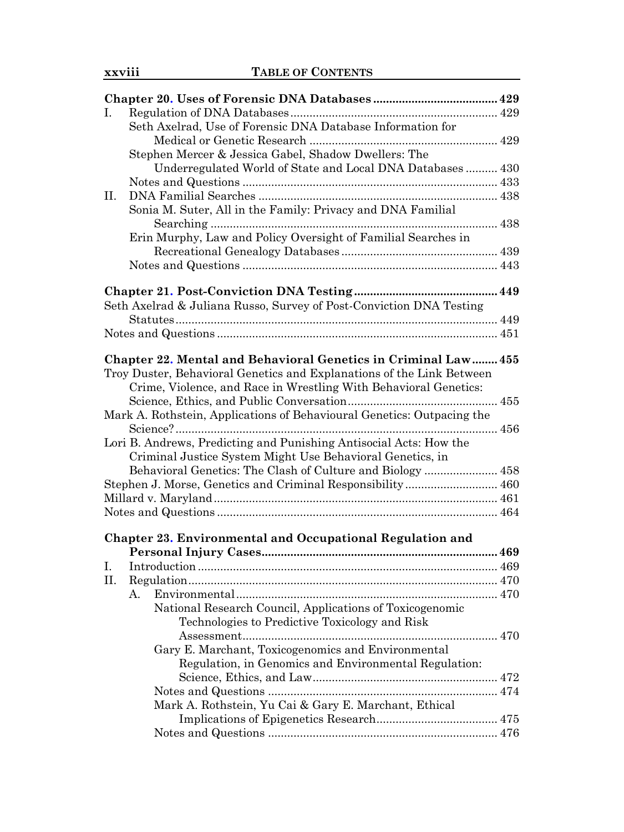| L. |                                                                        |  |
|----|------------------------------------------------------------------------|--|
|    | Seth Axelrad, Use of Forensic DNA Database Information for             |  |
|    |                                                                        |  |
|    | Stephen Mercer & Jessica Gabel, Shadow Dwellers: The                   |  |
|    | Underregulated World of State and Local DNA Databases 430              |  |
|    |                                                                        |  |
| П. |                                                                        |  |
|    | Sonia M. Suter, All in the Family: Privacy and DNA Familial            |  |
|    | . 438                                                                  |  |
|    | Erin Murphy, Law and Policy Oversight of Familial Searches in          |  |
|    |                                                                        |  |
|    |                                                                        |  |
|    |                                                                        |  |
|    | Seth Axelrad & Juliana Russo, Survey of Post-Conviction DNA Testing    |  |
|    |                                                                        |  |
|    |                                                                        |  |
|    |                                                                        |  |
|    | Chapter 22. Mental and Behavioral Genetics in Criminal Law 455         |  |
|    | Troy Duster, Behavioral Genetics and Explanations of the Link Between  |  |
|    | Crime, Violence, and Race in Wrestling With Behavioral Genetics:       |  |
|    |                                                                        |  |
|    | Mark A. Rothstein, Applications of Behavioural Genetics: Outpacing the |  |
|    |                                                                        |  |
|    | Lori B. Andrews, Predicting and Punishing Antisocial Acts: How the     |  |
|    | Criminal Justice System Might Use Behavioral Genetics, in              |  |
|    | Behavioral Genetics: The Clash of Culture and Biology  458             |  |
|    | Stephen J. Morse, Genetics and Criminal Responsibility 460             |  |
|    |                                                                        |  |
|    |                                                                        |  |
|    |                                                                        |  |
|    | Chapter 23. Environmental and Occupational Regulation and              |  |
|    |                                                                        |  |
| I. |                                                                        |  |
| П. |                                                                        |  |
|    | A.                                                                     |  |
|    | National Research Council, Applications of Toxicogenomic               |  |
|    | Technologies to Predictive Toxicology and Risk                         |  |
|    |                                                                        |  |
|    | Gary E. Marchant, Toxicogenomics and Environmental                     |  |
|    | Regulation, in Genomics and Environmental Regulation:                  |  |
|    |                                                                        |  |
|    |                                                                        |  |
|    | Mark A. Rothstein, Yu Cai & Gary E. Marchant, Ethical                  |  |
|    |                                                                        |  |
|    |                                                                        |  |
|    |                                                                        |  |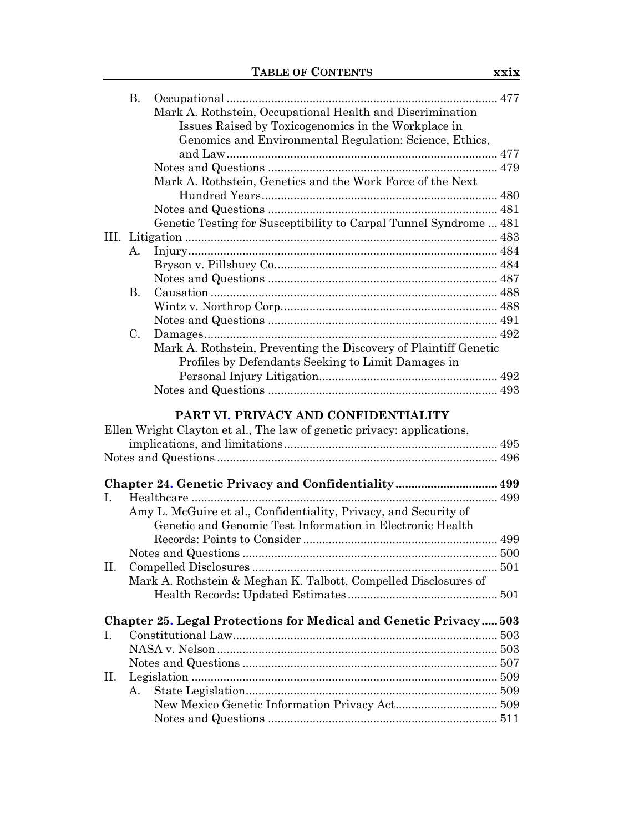|    | <b>B.</b> |                                                                          |  |
|----|-----------|--------------------------------------------------------------------------|--|
|    |           | Mark A. Rothstein, Occupational Health and Discrimination                |  |
|    |           | Issues Raised by Toxicogenomics in the Workplace in                      |  |
|    |           | Genomics and Environmental Regulation: Science, Ethics,                  |  |
|    |           |                                                                          |  |
|    |           |                                                                          |  |
|    |           | Mark A. Rothstein, Genetics and the Work Force of the Next               |  |
|    |           |                                                                          |  |
|    |           |                                                                          |  |
|    |           | Genetic Testing for Susceptibility to Carpal Tunnel Syndrome  481        |  |
|    |           |                                                                          |  |
|    | А.        |                                                                          |  |
|    |           |                                                                          |  |
|    |           |                                                                          |  |
|    | <b>B.</b> |                                                                          |  |
|    |           |                                                                          |  |
|    |           |                                                                          |  |
|    | C.        |                                                                          |  |
|    |           | Mark A. Rothstein, Preventing the Discovery of Plaintiff Genetic         |  |
|    |           | Profiles by Defendants Seeking to Limit Damages in                       |  |
|    |           |                                                                          |  |
|    |           |                                                                          |  |
|    |           |                                                                          |  |
|    |           | PART VI. PRIVACY AND CONFIDENTIALITY                                     |  |
|    |           | Ellen Wright Clayton et al., The law of genetic privacy: applications,   |  |
|    |           |                                                                          |  |
|    |           |                                                                          |  |
|    |           |                                                                          |  |
|    |           | Chapter 24. Genetic Privacy and Confidentiality 499                      |  |
| L. |           |                                                                          |  |
|    |           | Amy L. McGuire et al., Confidentiality, Privacy, and Security of         |  |
|    |           | Genetic and Genomic Test Information in Electronic Health                |  |
|    |           |                                                                          |  |
|    |           |                                                                          |  |
| П. |           |                                                                          |  |
|    |           | Mark A. Rothstein & Meghan K. Talbott, Compelled Disclosures of          |  |
|    |           |                                                                          |  |
|    |           |                                                                          |  |
|    |           | <b>Chapter 25. Legal Protections for Medical and Genetic Privacy 503</b> |  |
| L  |           |                                                                          |  |
|    |           |                                                                          |  |
|    |           |                                                                          |  |
| П. |           |                                                                          |  |
|    | A.        |                                                                          |  |
|    |           |                                                                          |  |
|    |           |                                                                          |  |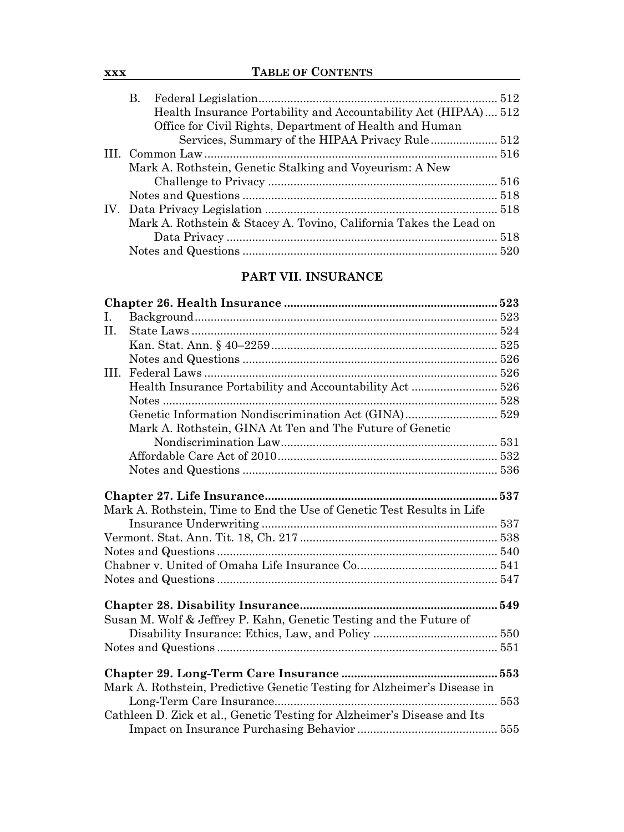| XXX | <b>TABLE OF CONTENTS</b> |
|-----|--------------------------|
|     |                          |

| <b>B.</b> |                                                                    |  |
|-----------|--------------------------------------------------------------------|--|
|           | Health Insurance Portability and Accountability Act (HIPAA) 512    |  |
|           | Office for Civil Rights, Department of Health and Human            |  |
|           |                                                                    |  |
|           |                                                                    |  |
|           | Mark A. Rothstein, Genetic Stalking and Voyeurism: A New           |  |
|           |                                                                    |  |
|           |                                                                    |  |
|           |                                                                    |  |
|           | Mark A. Rothstein & Stacey A. Tovino, California Takes the Lead on |  |
|           |                                                                    |  |
|           |                                                                    |  |
|           |                                                                    |  |

#### **PART VII. INSURANCE**

| I. |                                                                          |  |
|----|--------------------------------------------------------------------------|--|
| H. |                                                                          |  |
|    |                                                                          |  |
|    |                                                                          |  |
| Ш. |                                                                          |  |
|    | Health Insurance Portability and Accountability Act 526                  |  |
|    |                                                                          |  |
|    | Genetic Information Nondiscrimination Act (GINA) 529                     |  |
|    | Mark A. Rothstein, GINA At Ten and The Future of Genetic                 |  |
|    |                                                                          |  |
|    |                                                                          |  |
|    |                                                                          |  |
|    |                                                                          |  |
|    |                                                                          |  |
|    | Mark A. Rothstein, Time to End the Use of Genetic Test Results in Life   |  |
|    |                                                                          |  |
|    |                                                                          |  |
|    |                                                                          |  |
|    |                                                                          |  |
|    |                                                                          |  |
|    |                                                                          |  |
|    |                                                                          |  |
|    | Susan M. Wolf & Jeffrey P. Kahn, Genetic Testing and the Future of       |  |
|    |                                                                          |  |
|    |                                                                          |  |
|    |                                                                          |  |
|    |                                                                          |  |
|    | Mark A. Rothstein, Predictive Genetic Testing for Alzheimer's Disease in |  |
|    |                                                                          |  |
|    | Cathleen D. Zick et al., Genetic Testing for Alzheimer's Disease and Its |  |
|    |                                                                          |  |